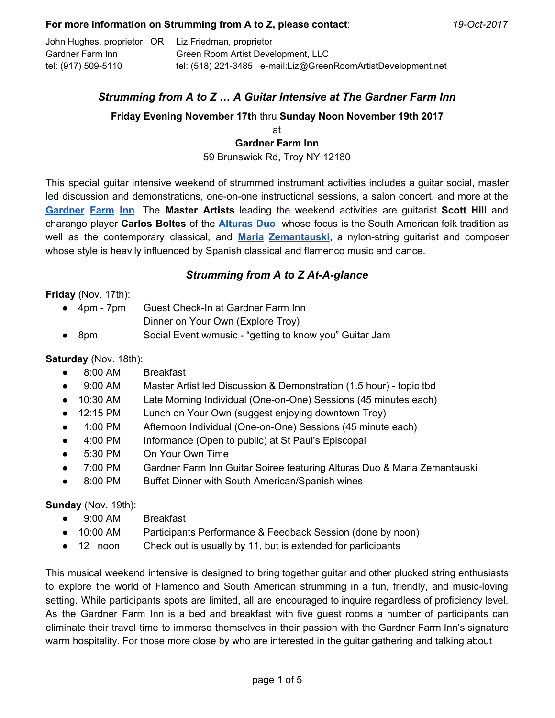John Hughes, proprietor OR Liz Friedman, proprietor Gardner Farm Inn Green Room Artist Development, LLC tel: (917) 509-5110 tel: (518) 221-3485 e-mail:Liz@GreenRoomArtistDevelopment.net

# *Strumming from A to Z … A Guitar Intensive at The Gardner Farm Inn*

## **Friday Evening November 17th** thru **Sunday Noon November 19th 2017**

at **Gardner Farm Inn** 59 Brunswick Rd, Troy NY 12180

This special guitar intensive weekend of strummed instrument activities includes a guitar social, master led discussion and demonstrations, one-on-one instructional sessions, a salon concert, and more at the **[Gardner](https://www.gardnerfarminn.com/) Farm Inn**. The **Master Artists** leading the weekend activities are guitarist **Scott Hill** and charango player **Carlos Boltes** of the **[Alturas](http://gradmainfo.wixsite.com/alturasduo/alturas-duo) Duo**, whose focus is the South American folk tradition as well as the contemporary classical, and **Maria [Zemantauski](http://www.mariazemantauski.com/index/)**, a nylon-string guitarist and composer whose style is heavily influenced by Spanish classical and flamenco music and dance.

# *Strumming from A to Z At-A-glance*

**Friday** (Nov. 17th):

- 4pm 7pm Guest Check-In at Gardner Farm Inn
	- Dinner on Your Own (Explore Troy)
- 8pm Social Event w/music "getting to know you" Guitar Jam

### **Saturday** (Nov. 18th):

- 8:00 AM Breakfast
- 9:00 AM Master Artist led Discussion & Demonstration (1.5 hour) topic tbd
- 10:30 AM Late Morning Individual (One-on-One) Sessions (45 minutes each)
- 12:15 PM Lunch on Your Own (suggest enjoying downtown Troy)
- 1:00 PM Afternoon Individual (One-on-One) Sessions (45 minute each)
- 4:00 PM Informance (Open to public) at St Paul's Episcopal
- 5:30 PM On Your Own Time
- 7:00 PM Gardner Farm Inn Guitar Soiree featuring Alturas Duo & Maria Zemantauski
- 8:00 PM Buffet Dinner with South American/Spanish wines

#### **Sunday** (Nov. 19th):

- 9:00 AM Breakfast
- 10:00 AM Participants Performance & Feedback Session (done by noon)
- 12 noon Check out is usually by 11, but is extended for participants

This musical weekend intensive is designed to bring together guitar and other plucked string enthusiasts to explore the world of Flamenco and South American strumming in a fun, friendly, and music-loving setting. While participants spots are limited, all are encouraged to inquire regardless of proficiency level. As the Gardner Farm Inn is a bed and breakfast with five guest rooms a number of participants can eliminate their travel time to immerse themselves in their passion with the Gardner Farm Inn's signature warm hospitality. For those more close by who are interested in the guitar gathering and talking about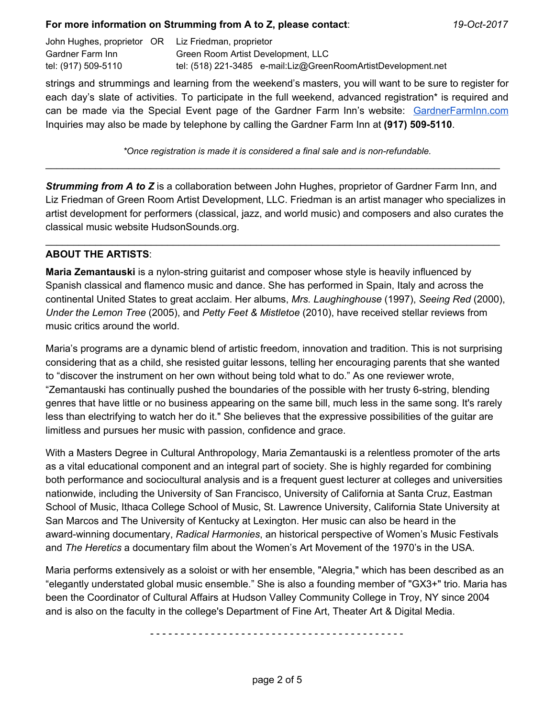John Hughes, proprietor OR Liz Friedman, proprietor Gardner Farm Inn Green Room Artist Development, LLC tel: (917) 509-5110 tel: (518) 221-3485 e-mail:Liz@GreenRoomArtistDevelopment.net

strings and strummings and learning from the weekend's masters, you will want to be sure to register for each day's slate of activities. To participate in the full weekend, advanced registration\* is required and can be made via the Special Event page of the Gardner Farm Inn's website: [GardnerFarmInn.com](https://www.gardnerfarminn.com/special-events) Inquiries may also be made by telephone by calling the Gardner Farm Inn at **(917) 509-5110**.

*\*Once registration is made it is considered a final sale and is non-refundable.* \_\_\_\_\_\_\_\_\_\_\_\_\_\_\_\_\_\_\_\_\_\_\_\_\_\_\_\_\_\_\_\_\_\_\_\_\_\_\_\_\_\_\_\_\_\_\_\_\_\_\_\_\_\_\_\_\_\_\_\_\_\_\_\_\_\_\_\_\_\_\_\_\_\_\_\_\_\_\_\_\_\_

*Strumming from A to Z* is a collaboration between John Hughes, proprietor of Gardner Farm Inn, and Liz Friedman of Green Room Artist Development, LLC. Friedman is an artist manager who specializes in artist development for performers (classical, jazz, and world music) and composers and also curates the classical music website HudsonSounds.org.

\_\_\_\_\_\_\_\_\_\_\_\_\_\_\_\_\_\_\_\_\_\_\_\_\_\_\_\_\_\_\_\_\_\_\_\_\_\_\_\_\_\_\_\_\_\_\_\_\_\_\_\_\_\_\_\_\_\_\_\_\_\_\_\_\_\_\_\_\_\_\_\_\_\_\_\_\_\_\_\_\_\_

# **ABOUT THE ARTISTS**:

**Maria Zemantauski** is a nylon-string guitarist and composer whose style is heavily influenced by Spanish classical and flamenco music and dance. She has performed in Spain, Italy and across the continental United States to great acclaim. Her albums, *Mrs. Laughinghouse* (1997), *Seeing Red* (2000), *Under the Lemon Tree* (2005), and *Petty Feet & Mistletoe* (2010), have received stellar reviews from music critics around the world.

Maria's programs are a dynamic blend of artistic freedom, innovation and tradition. This is not surprising considering that as a child, she resisted guitar lessons, telling her encouraging parents that she wanted to "discover the instrument on her own without being told what to do." As one reviewer wrote, "Zemantauski has continually pushed the boundaries of the possible with her trusty 6-string, blending genres that have little or no business appearing on the same bill, much less in the same song. It's rarely less than electrifying to watch her do it." She believes that the expressive possibilities of the guitar are limitless and pursues her music with passion, confidence and grace.

With a Masters Degree in Cultural Anthropology, Maria Zemantauski is a relentless promoter of the arts as a vital educational component and an integral part of society. She is highly regarded for combining both performance and sociocultural analysis and is a frequent guest lecturer at colleges and universities nationwide, including the University of San Francisco, University of California at Santa Cruz, Eastman School of Music, Ithaca College School of Music, St. Lawrence University, California State University at San Marcos and The University of Kentucky at Lexington. Her music can also be heard in the award-winning documentary, *Radical Harmonies*, an historical perspective of Women's Music Festivals and *The Heretics* a documentary film about the Women's Art Movement of the 1970's in the USA.

Maria performs extensively as a soloist or with her ensemble, "Alegria," which has been described as an "elegantly understated global music ensemble." She is also a founding member of "GX3+" trio. Maria has been the Coordinator of Cultural Affairs at Hudson Valley Community College in Troy, NY since 2004 and is also on the faculty in the college's Department of Fine Art, Theater Art & Digital Media.

- - - - - - - - - - - - - - - - - - - - - - - - - - - - - - - - - - - - - - - - - -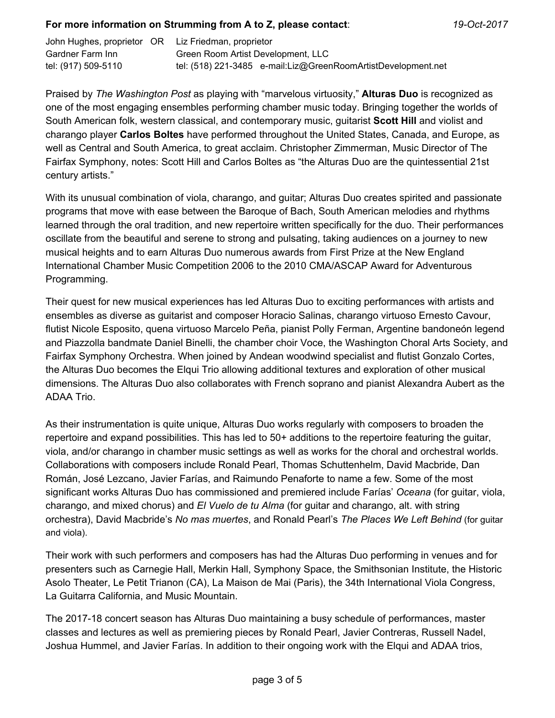John Hughes, proprietor OR Liz Friedman, proprietor Gardner Farm Inn Green Room Artist Development, LLC tel: (917) 509-5110 tel: (518) 221-3485 e-mail:Liz@GreenRoomArtistDevelopment.net

Praised by *The Washington Post* as playing with "marvelous virtuosity," **Alturas Duo** is recognized as one of the most engaging ensembles performing chamber music today. Bringing together the worlds of South American folk, western classical, and contemporary music, guitarist **Scott Hill** and violist and charango player **Carlos Boltes** have performed throughout the United States, Canada, and Europe, as well as Central and South America, to great acclaim. Christopher Zimmerman, Music Director of The Fairfax Symphony, notes: Scott Hill and Carlos Boltes as "the Alturas Duo are the quintessential 21st century artists."

With its unusual combination of viola, charango, and guitar; Alturas Duo creates spirited and passionate programs that move with ease between the Baroque of Bach, South American melodies and rhythms learned through the oral tradition, and new repertoire written specifically for the duo. Their performances oscillate from the beautiful and serene to strong and pulsating, taking audiences on a journey to new musical heights and to earn Alturas Duo numerous awards from First Prize at the New England International Chamber Music Competition 2006 to the 2010 CMA/ASCAP Award for Adventurous Programming.

Their quest for new musical experiences has led Alturas Duo to exciting performances with artists and ensembles as diverse as guitarist and composer Horacio Salinas, charango virtuoso Ernesto Cavour, flutist Nicole Esposito, quena virtuoso Marcelo Peña, pianist Polly Ferman, Argentine bandoneón legend and Piazzolla bandmate Daniel Binelli, the chamber choir Voce, the Washington Choral Arts Society, and Fairfax Symphony Orchestra. When joined by Andean woodwind specialist and flutist Gonzalo Cortes, the Alturas Duo becomes the Elqui Trio allowing additional textures and exploration of other musical dimensions. The Alturas Duo also collaborates with French soprano and pianist Alexandra Aubert as the ADAA Trio.

As their instrumentation is quite unique, Alturas Duo works regularly with composers to broaden the repertoire and expand possibilities. This has led to 50+ additions to the repertoire featuring the guitar, viola, and/or charango in chamber music settings as well as works for the choral and orchestral worlds. Collaborations with composers include Ronald Pearl, Thomas Schuttenhelm, David Macbride, Dan Román, José Lezcano, Javier Farías, and Raimundo Penaforte to name a few. Some of the most significant works Alturas Duo has commissioned and premiered include Farías' *Oceana* (for guitar, viola, charango, and mixed chorus) and *El Vuelo de tu Alma* (for guitar and charango, alt. with string orchestra), David Macbride's *No mas muertes*, and Ronald Pearl's *The Places We Left Behind* (for guitar and viola).

Their work with such performers and composers has had the Alturas Duo performing in venues and for presenters such as Carnegie Hall, Merkin Hall, Symphony Space, the Smithsonian Institute, the Historic Asolo Theater, Le Petit Trianon (CA), La Maison de Mai (Paris), the 34th International Viola Congress, La Guitarra California, and Music Mountain.

The 2017-18 concert season has Alturas Duo maintaining a busy schedule of performances, master classes and lectures as well as premiering pieces by Ronald Pearl, Javier Contreras, Russell Nadel, Joshua Hummel, and Javier Farías. In addition to their ongoing work with the Elqui and ADAA trios,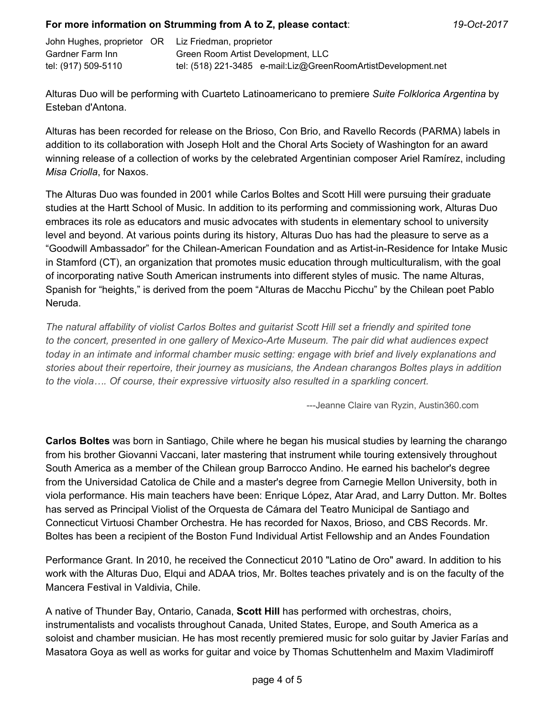| John Hughes, proprietor OR Liz Friedman, proprietor |                                                               |
|-----------------------------------------------------|---------------------------------------------------------------|
| Gardner Farm Inn                                    | Green Room Artist Development, LLC                            |
| tel: (917) 509-5110                                 | tel: (518) 221-3485 e-mail:Liz@GreenRoomArtistDevelopment.net |

Alturas Duo will be performing with Cuarteto Latinoamericano to premiere *Suite Folklorica Argentina* by Esteban d'Antona.

Alturas has been recorded for release on the Brioso, Con Brio, and Ravello Records (PARMA) labels in addition to its collaboration with Joseph Holt and the Choral Arts Society of Washington for an award winning release of a collection of works by the celebrated Argentinian composer Ariel Ramírez, including *Misa Criolla*, for Naxos.

The Alturas Duo was founded in 2001 while Carlos Boltes and Scott Hill were pursuing their graduate studies at the Hartt School of Music. In addition to its performing and commissioning work, Alturas Duo embraces its role as educators and music advocates with students in elementary school to university level and beyond. At various points during its history, Alturas Duo has had the pleasure to serve as a "Goodwill Ambassador" for the Chilean-American Foundation and as Artist-in-Residence for Intake Music in Stamford (CT), an organization that promotes music education through multiculturalism, with the goal of incorporating native South American instruments into different styles of music. The name Alturas, Spanish for "heights," is derived from the poem "Alturas de Macchu Picchu" by the Chilean poet Pablo Neruda.

*The natural affability of violist Carlos Boltes and guitarist Scott Hill set a friendly and spirited tone to the concert, presented in one gallery of Mexico-Arte Museum. The pair did what audiences expect today in an intimate and informal chamber music setting: engage with brief and lively explanations and stories about their repertoire, their journey as musicians, the Andean charangos Boltes plays in addition to the viola…. Of course, their expressive virtuosity also resulted in a sparkling concert.*

---Jeanne Claire van Ryzin, Austin360.com

**Carlos Boltes** was born in Santiago, Chile where he began his musical studies by learning the charango from his brother Giovanni Vaccani, later mastering that instrument while touring extensively throughout South America as a member of the Chilean group Barrocco Andino. He earned his bachelor's degree from the Universidad Catolica de Chile and a master's degree from Carnegie Mellon University, both in viola performance. His main teachers have been: Enrique López, Atar Arad, and Larry Dutton. Mr. Boltes has served as Principal Violist of the Orquesta de Cámara del Teatro Municipal de Santiago and Connecticut Virtuosi Chamber Orchestra. He has recorded for Naxos, Brioso, and CBS Records. Mr. Boltes has been a recipient of the Boston Fund Individual Artist Fellowship and an Andes Foundation

Performance Grant. In 2010, he received the Connecticut 2010 "Latino de Oro" award. In addition to his work with the Alturas Duo, Elqui and ADAA trios, Mr. Boltes teaches privately and is on the faculty of the Mancera Festival in Valdivia, Chile.

A native of Thunder Bay, Ontario, Canada, **Scott Hill** has performed with orchestras, choirs, instrumentalists and vocalists throughout Canada, United States, Europe, and South America as a soloist and chamber musician. He has most recently premiered music for solo guitar by Javier Farías and Masatora Goya as well as works for guitar and voice by Thomas Schuttenhelm and Maxim Vladimiroff